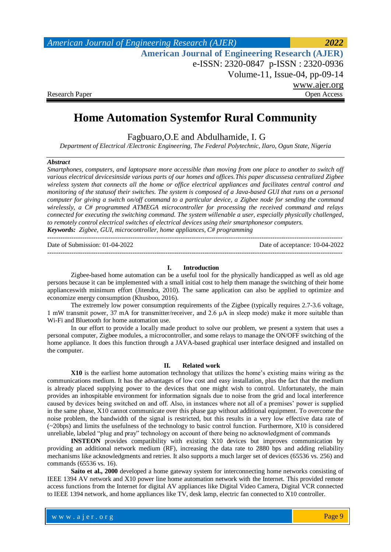| <b>American Journal of Engineering Research (AJER)</b> | 2022         |
|--------------------------------------------------------|--------------|
| <b>American Journal of Engineering Research (AJER)</b> |              |
| e-ISSN: 2320-0847 p-ISSN: 2320-0936                    |              |
| Volume-11, Issue-04, $pp-09-14$                        |              |
|                                                        | www.ajer.org |
| Research Paper                                         | Open Access  |

# **Home Automation Systemfor Rural Community**

Fagbuaro,O.E and Abdulhamide, I. G

*Department of Electrical /Electronic Engineering, The Federal Polytechnic, Ilaro, Ogun State, Nigeria*

# *Abstract*

*Smartphones, computers, and laptopsare more accessible than moving from one place to another to switch off various electrical devicesinside various parts of our homes and offices.This paper discussesa centralized Zigbee wireless system that connects all the home or office electrical appliances and facilitates central control and monitoring of the statusof their switches. The system is composed of a Java-based GUI that runs on a personal computer for giving a switch on/off command to a particular device, a Zigbee node for sending the command wirelessly, a C# programmed ATMEGA microcontroller for processing the received command and relays connected for executing the switching command. The system willenable a user, especially physically challenged, to remotely control electrical switches of electrical devices using their smartphonesor computers. Keywords: Zigbee, GUI, microcontroller, home appliances, C# programming*

| Date of Submission: 01-04-2022 | Date of acceptance: 10-04-2022 |
|--------------------------------|--------------------------------|
|                                |                                |

### **I. Introduction**

Zigbee-based home automation can be a useful tool for the physically handicapped as well as old age persons because it can be implemented with a small initial cost to help them manage the switching of their home applianceswith minimum effort (Jitendra, 2010). The same application can also be applied to optimize and economize energy consumption (Khusboo, 2016).

The extremely low power consumption requirements of the Zigbee (typically requires 2.7-3.6 voltage, 1 mW transmit power, 37 mA for transmitter/receiver, and 2.6 μA in sleep mode) make it more suitable than Wi-Fi and Bluetooth for home automation use.

In our effort to provide a locally made product to solve our problem, we present a system that uses a personal computer, Zigbee modules, a microcontroller, and some relays to manage the ON/OFF switching of the home appliance. It does this function through a JAVA-based graphical user interface designed and installed on the computer.

#### **II. Related work**

**X10** is the earliest home automation technology that utilizes the home's existing mains wiring as the communications medium. It has the advantages of low cost and easy installation, plus the fact that the medium is already placed supplying power to the devices that one might wish to control. Unfortunately, the main provides an inhospitable environment for information signals due to noise from the grid and local interference caused by devices being switched on and off. Also, in instances where not all of a premises' power is supplied in the same phase, X10 cannot communicate over this phase gap without additional equipment. To overcome the noise problem, the bandwidth of the signal is restricted, but this results in a very low effective data rate of (~20bps) and limits the usefulness of the technology to basic control function. Furthermore, X10 is considered unreliable, labeled "plug and pray" technology on account of there being no acknowledgment of commands

**INSTEON** provides compatibility with existing X10 devices but improves communication by providing an additional network medium (RF), increasing the data rate to 2880 bps and adding reliability mechanisms like acknowledgments and retries. It also supports a much larger set of devices (65536 vs. 256) and commands (65536 vs. 16).

**Saito et al., 2000** developed a home gateway system for interconnecting home networks consisting of IEEE 1394 AV network and X10 power line home automation network with the Internet. This provided remote access functions from the Internet for digital AV appliances like Digital Video Camera, Digital VCR connected to IEEE 1394 network, and home appliances like TV, desk lamp, electric fan connected to X10 controller.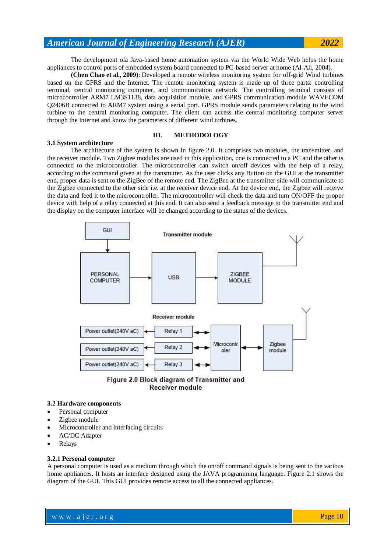The development ofa Java-based home automation system via the World Wide Web helps the home appliances to control ports of embedded system board connected to PC-based server at home (Al-Ali, 2004).

**(Chen Chao et al., 2009)**: Developed a remote wireless monitoring system for off-grid Wind turbines based on the GPRS and the Internet. The remote monitoring system is made up of three parts: controlling terminal, central monitoring computer, and communication network. The controlling terminal consists of microcontroller ARM7 LM3S1138, data acquisition module, and GPRS communication module WAVECOM Q2406B connected to ARM7 system using a serial port. GPRS module sends parameters relating to the wind turbine to the central monitoring computer. The client can access the central monitoring computer server through the Internet and know the parameters of different wind turbines.

### **III. METHODOLOGY**

### **3.1 System architecture**

The architecture of the system is shown in figure 2.0. It comprises two modules, the transmitter, and the receiver module. Two Zigbee modules are used in this application, one is connected to a PC and the other is connected to the microcontroller. The microcontroller can switch on/off devices with the help of a relay, according to the command given at the transmitter. As the user clicks any Button on the GUI at the transmitter end, proper data is sent to the ZigBee of the remote end. The ZigBee at the transmitter side will communicate to the Zigbee connected to the other side i.e. at the receiver device end. At the device end, the Zigbee will receive the data and feed it to the microcontroller. The microcontroller will check the data and turn ON/OFF the proper device with help of a relay connected at this end. It can also send a feedback message to the transmitter end and the display on the computer interface will be changed according to the status of the devices.



Figure 2.0 Block diagram of Transmitter and **Receiver module** 

#### **3.2 Hardware components**

- Personal computer
- Zigbee module
- Microcontroller and interfacing circuits
- AC/DC Adapter
- Relays

### **3.2.1 Personal computer**

A personal computer is used as a medium through which the on/off command signals is being sent to the various home appliances. It hosts an interface designed using the JAVA programming language. Figure 2.1 shows the diagram of the GUI. This GUI provides remote access to all the connected appliances.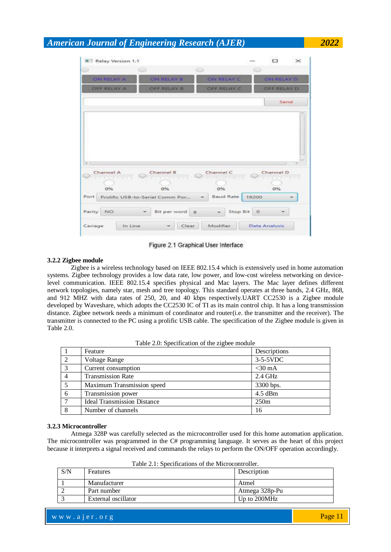|                          | Relay Version 1.1                     |                        |                   |
|--------------------------|---------------------------------------|------------------------|-------------------|
|                          |                                       | $\circledcirc$         | ⇔                 |
| ON RELAY A               | <b>ON RELAY B</b>                     | <b>ON RELAY C</b>      | <b>ON RELAY D</b> |
| <b>OFF RELAY A</b>       | OFF RELAY B                           | OFF RELAY C            | OFF RELAY D       |
|                          |                                       |                        | Send              |
|                          |                                       |                        |                   |
|                          |                                       |                        |                   |
| Channel A<br>STAYING THE | Channel B<br><b>ATTACHED</b>          | Channel C<br><b></b>   | Channel D         |
|                          |                                       |                        |                   |
| 0%<br>Port               | 0%<br>Prolific USB-to-Serial Comm Por | 0%<br><b>Baud Rate</b> | $0\%$<br>19200    |
| Parity NO                | Bit per word 8                        | Stop Bit 0             |                   |

Figure 2.1 Graphical User Interface

# **3.2.2 Zigbee module**

Zigbee is a wireless technology based on IEEE 802.15.4 which is extensively used in home automation systems. Zigbee technology provides a low data rate, low power, and low-cost wireless networking on devicelevel communication. IEEE 802.15.4 specifies physical and Mac layers. The Mac layer defines different network topologies, namely star, mesh and tree topology. This standard operates at three bands, 2.4 GHz, 868, and 912 MHZ with data rates of 250, 20, and 40 kbps respectively.UART CC2530 is a Zigbee module developed by Waveshare, which adopts the CC2530 IC of TI as its main control chip. It has a long transmission distance. Zigbee network needs a minimum of coordinator and router(i.e. the transmitter and the receiver). The transmitter is connected to the PC using a prolific USB cable. The specification of the Zigbee module is given in Table 2.0.

| Table 2.0: Specification of the zigbee module |  |  |
|-----------------------------------------------|--|--|
|-----------------------------------------------|--|--|

|                | Feature                            | Descriptions |
|----------------|------------------------------------|--------------|
| 2              | <b>Voltage Range</b>               | $3-5-5VDC$   |
| $\overline{3}$ | Current consumption                | $<$ 30 mA    |
| $\overline{4}$ | <b>Transmission Rate</b>           | $2.4$ GHz    |
| 5              | Maximum Transmission speed         | 3300 bps.    |
| 6              | Transmission power                 | $4.5$ dBm    |
| -7             | <b>Ideal Transmission Distance</b> | 250m         |
| 8              | Number of channels                 | 16           |

### **3.2.3 Microcontroller**

Atmega 328P was carefully selected as the microcontroller used for this home automation application. The microcontroller was programmed in the C# programming language. It serves as the heart of this project because it interprets a signal received and commands the relays to perform the ON/OFF operation accordingly.

| S/N | <b>Features</b>     | Description    |
|-----|---------------------|----------------|
|     | Manufacturer        | Atmel          |
|     | Part number         | Atmega 328p-Pu |
|     | External oscillator | Up to 200MHz   |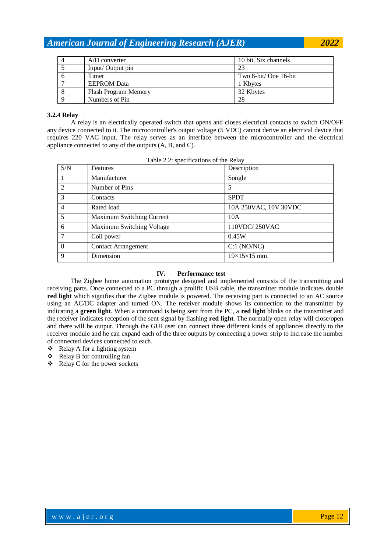| $A/D$ converter             | 10 bit, Six channels  |
|-----------------------------|-----------------------|
| Input/Output pin            | 23                    |
| Timer                       | Two 8-bit/ One 16-bit |
| <b>EEPROM</b> Data          | 1 Kbytes              |
| <b>Flash Program Memory</b> | 32 Kbytes             |
| Numbers of Pin              | 28                    |

# **3.2.4 Relay**

A relay is an electrically operated switch that opens and closes electrical contacts to switch ON/OFF any device connected to it. The microcontroller's output voltage (5 VDC) cannot derive an electrical device that requires 220 VAC input. The relay serves as an interface between the microcontroller and the electrical appliance connected to any of the outputs (A, B, and C).

| S/N            | Features                   | Description              |
|----------------|----------------------------|--------------------------|
| - 1            | Manufacturer               | Songle                   |
| $\overline{2}$ | Number of Pins             | 5                        |
| $\overline{3}$ | Contacts                   | <b>SPDT</b>              |
| $\overline{4}$ | Rated load                 | 10A 250VAC, 10V 30VDC    |
| -5             | Maximum Switching Current  | 10A                      |
| - 6            | Maximum Switching Voltage  | 110VDC/250VAC            |
| $\overline{7}$ | Coil power                 | 0.45W                    |
| -8             | <b>Contact Arrangement</b> | C:1 (NO/NC)              |
| - 9            | Dimension                  | $19\times15\times15$ mm. |

Table 2.2: specifications of the Relay

# **IV. Performance test**

The Zigbee home automation prototype designed and implemented consists of the transmitting and receiving parts. Once connected to a PC through a prolific USB cable, the transmitter module indicates double **red light** which signifies that the Zigbee module is powered. The receiving part is connected to an AC source using an AC/DC adapter and turned ON. The receiver module shows its connection to the transmitter by indicating a **green light**. When a command is being sent from the PC, a **red light** blinks on the transmitter and the receiver indicates reception of the sent signal by flashing **red light**. The normally open relay will close/open and there will be output. Through the GUI user can connect three different kinds of appliances directly to the receiver module and he can expand each of the three outputs by connecting a power strip to increase the number of connected devices connected to each.

- $\triangleleft$  Relay A for a lighting system
- Relay B for controlling fan
- $\triangleleft$  Relay C for the power sockets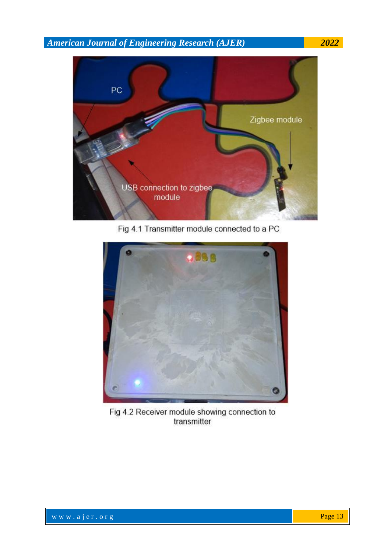

Fig 4.1 Transmitter module connected to a PC



Fig 4.2 Receiver module showing connection to transmitter